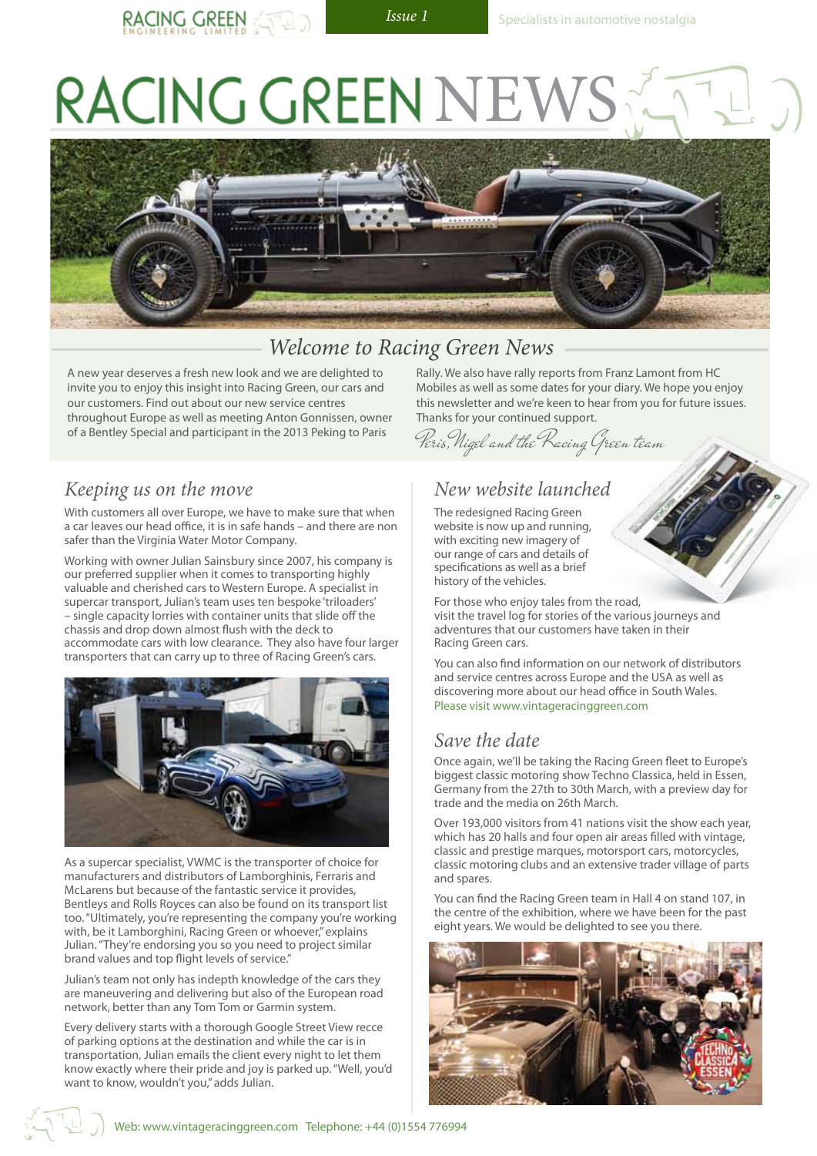# RACING GREEN NE



### *Welcome to Racing Green News*

A new year deserves a fresh new look and we are delighted to invite you to enjoy this insight into Racing Green, our cars and our customers. Find out about our new service centres throughout Europe as well as meeting Anton Gonnissen, owner of a Bentley Special and participant in the 2013 Peking to Paris

#### *Keeping us on the move*

With customers all over Europe, we have to make sure that when a car leaves our head office, it is in safe hands – and there are non safer than the Virginia Water Motor Company.

Working with owner Julian Sainsbury since 2007, his company is our preferred supplier when it comes to transporting highly valuable and cherished cars to Western Europe. A specialist in supercar transport, Julian's team uses ten bespoke 'triloaders' – single capacity lorries with container units that slide off the chassis and drop down almost flush with the deck to accommodate cars with low clearance. They also have four larger transporters that can carry up to three of Racing Green's cars.



As a supercar specialist, VWMC is the transporter of choice for manufacturers and distributors of Lamborghinis, Ferraris and McLarens but because of the fantastic service it provides, Bentleys and Rolls Royces can also be found on its transport list too. "Ultimately, you're representing the company you're working with, be it Lamborghini, Racing Green or whoever," explains Julian. "They're endorsing you so you need to project similar brand values and top flight levels of service."

Julian's team not only has indepth knowledge of the cars they are maneuvering and delivering but also of the European road network, better than any Tom Tom or Garmin system.

Every delivery starts with a thorough Google Street View recce of parking options at the destination and while the car is in transportation, Julian emails the client every night to let them know exactly where their pride and joy is parked up. "Well, you'd want to know, wouldn't you," adds Julian.

Rally. We also have rally reports from Franz Lamont from HC Mobiles as well as some dates for your diary. We hope you enjoy this newsletter and we're keen to hear from you for future issues. Thanks for your continued support.

Peris,Nigel and the Racing Green team

#### *New website launched*

The redesigned Racing Green website is now up and running, with exciting new imagery of our range of cars and details of specifications as well as a brief history of the vehicles.

For those who enjoy tales from the road, visit the travel log for stories of the various journeys and adventures that our customers have taken in their Racing Green cars.

You can also find information on our network of distributors and service centres across Europe and the USA as well as discovering more about our head office in South Wales. Please visit www.vintageracinggreen.com

#### *Save the date*

Once again, we'll be taking the Racing Green fleet to Europe's biggest classic motoring show Techno Classica, held in Essen, Germany from the 27th to 30th March, with a preview day for trade and the media on 26th March.

Over 193,000 visitors from 41 nations visit the show each year, which has 20 halls and four open air areas filled with vintage, classic and prestige marques, motorsport cars, motorcycles, classic motoring clubs and an extensive trader village of parts and spares.

You can find the Racing Green team in Hall 4 on stand 107, in the centre of the exhibition, where we have been for the past eight years. We would be delighted to see you there.



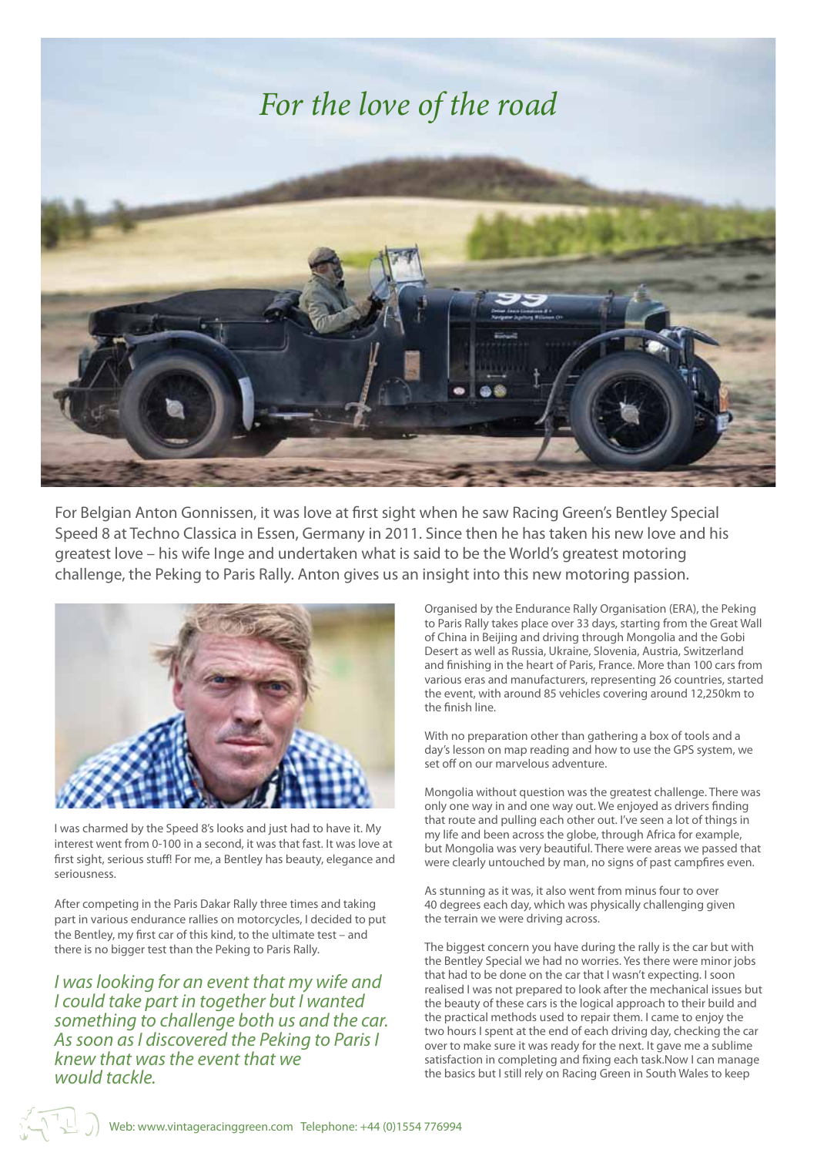

For Belgian Anton Gonnissen, it was love at first sight when he saw Racing Green's Bentley Special Speed 8 at Techno Classica in Essen, Germany in 2011. Since then he has taken his new love and his greatest love – his wife Inge and undertaken what is said to be the World's greatest motoring challenge, the Peking to Paris Rally. Anton gives us an insight into this new motoring passion.



I was charmed by the Speed 8's looks and just had to have it. My interest went from 0-100 in a second, it was that fast. It was love at first sight, serious stuff! For me, a Bentley has beauty, elegance and seriousness.

After competing in the Paris Dakar Rally three times and taking part in various endurance rallies on motorcycles, I decided to put the Bentley, my first car of this kind, to the ultimate test – and there is no bigger test than the Peking to Paris Rally.

*I was looking for an event that my wife and I could take part in together but I wanted something to challenge both us and the car. As soon as I discovered the Peking to Paris I knew that was the event that we would tackle.*

Organised by the Endurance Rally Organisation (ERA), the Peking to Paris Rally takes place over 33 days, starting from the Great Wall of China in Beijing and driving through Mongolia and the Gobi Desert as well as Russia, Ukraine, Slovenia, Austria, Switzerland and finishing in the heart of Paris, France. More than 100 cars from various eras and manufacturers, representing 26 countries, started the event, with around 85 vehicles covering around 12,250km to the finish line.

With no preparation other than gathering a box of tools and a day's lesson on map reading and how to use the GPS system, we set off on our marvelous adventure.

Mongolia without question was the greatest challenge. There was only one way in and one way out. We enjoyed as drivers finding that route and pulling each other out. I've seen a lot of things in my life and been across the globe, through Africa for example, but Mongolia was very beautiful. There were areas we passed that were clearly untouched by man, no signs of past campfires even.

As stunning as it was, it also went from minus four to over 40 degrees each day, which was physically challenging given the terrain we were driving across.

The biggest concern you have during the rally is the car but with the Bentley Special we had no worries. Yes there were minor jobs that had to be done on the car that I wasn't expecting. I soon realised I was not prepared to look after the mechanical issues but the beauty of these cars is the logical approach to their build and the practical methods used to repair them. I came to enjoy the two hours I spent at the end of each driving day, checking the car over to make sure it was ready for the next. It gave me a sublime satisfaction in completing and fixing each task.Now I can manage the basics but I still rely on Racing Green in South Wales to keep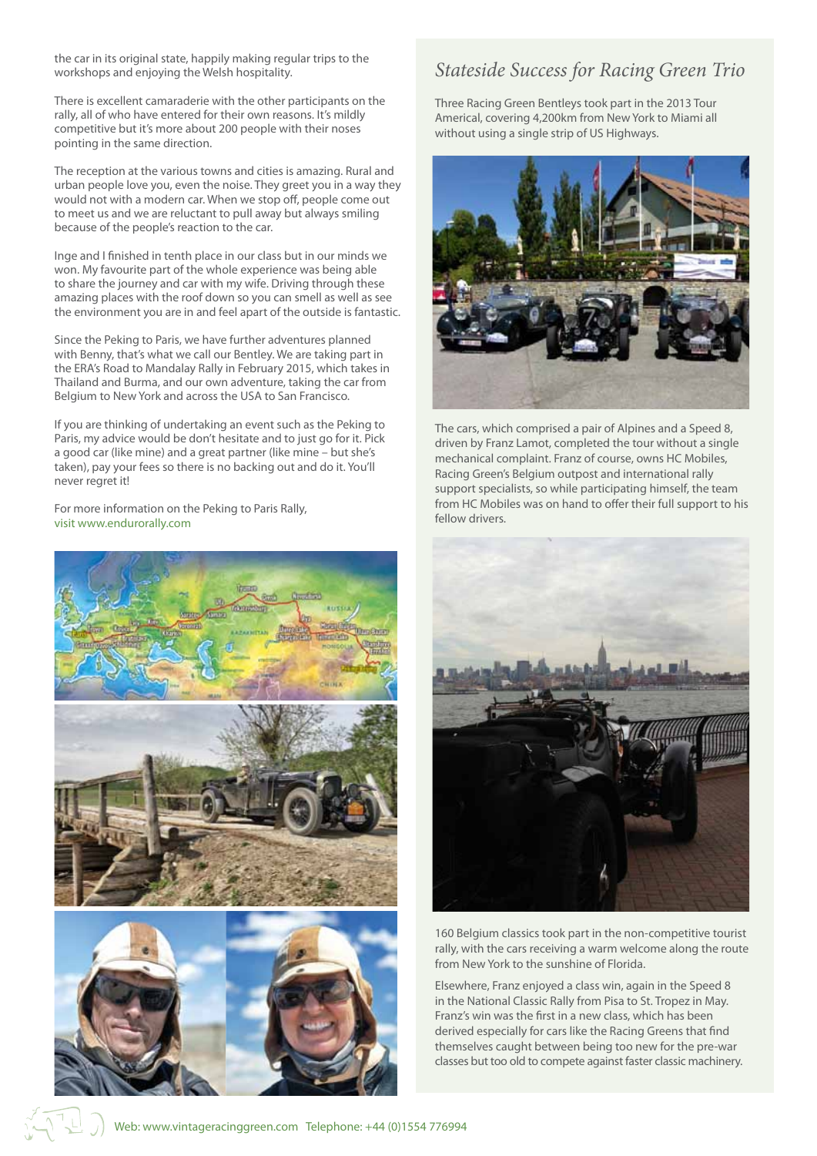the car in its original state, happily making regular trips to the workshops and enjoying the Welsh hospitality.

There is excellent camaraderie with the other participants on the rally, all of who have entered for their own reasons. It's mildly competitive but it's more about 200 people with their noses pointing in the same direction.

The reception at the various towns and cities is amazing. Rural and urban people love you, even the noise. They greet you in a way they would not with a modern car. When we stop off, people come out to meet us and we are reluctant to pull away but always smiling because of the people's reaction to the car.

Inge and I finished in tenth place in our class but in our minds we won. My favourite part of the whole experience was being able to share the journey and car with my wife. Driving through these amazing places with the roof down so you can smell as well as see the environment you are in and feel apart of the outside is fantastic.

Since the Peking to Paris, we have further adventures planned with Benny, that's what we call our Bentley. We are taking part in the ERA's Road to Mandalay Rally in February 2015, which takes in Thailand and Burma, and our own adventure, taking the car from Belgium to New York and across the USA to San Francisco.

If you are thinking of undertaking an event such as the Peking to Paris, my advice would be don't hesitate and to just go for it. Pick a good car (like mine) and a great partner (like mine – but she's taken), pay your fees so there is no backing out and do it. You'll never regret it!

For more information on the Peking to Paris Rally, visit www.endurorally.com



#### *Stateside Success for Racing Green Trio*

Three Racing Green Bentleys took part in the 2013 Tour Americal, covering 4,200km from New York to Miami all without using a single strip of US Highways.



The cars, which comprised a pair of Alpines and a Speed 8, driven by Franz Lamot, completed the tour without a single mechanical complaint. Franz of course, owns HC Mobiles, Racing Green's Belgium outpost and international rally support specialists, so while participating himself, the team from HC Mobiles was on hand to offer their full support to his fellow drivers.



160 Belgium classics took part in the non-competitive tourist rally, with the cars receiving a warm welcome along the route from New York to the sunshine of Florida.

Elsewhere, Franz enjoyed a class win, again in the Speed 8 in the National Classic Rally from Pisa to St. Tropez in May. Franz's win was the first in a new class, which has been derived especially for cars like the Racing Greens that find themselves caught between being too new for the pre-war classes but too old to compete against faster classic machinery.